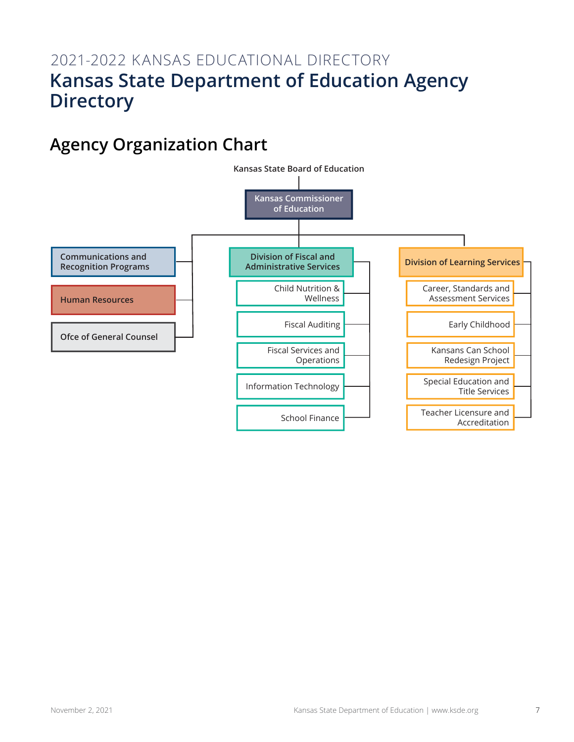# 2021-2022 KANSAS EDUCATIONAL DIRECTORY **Kansas State Department of Education Agency Directory**

# **Agency Organization Chart**

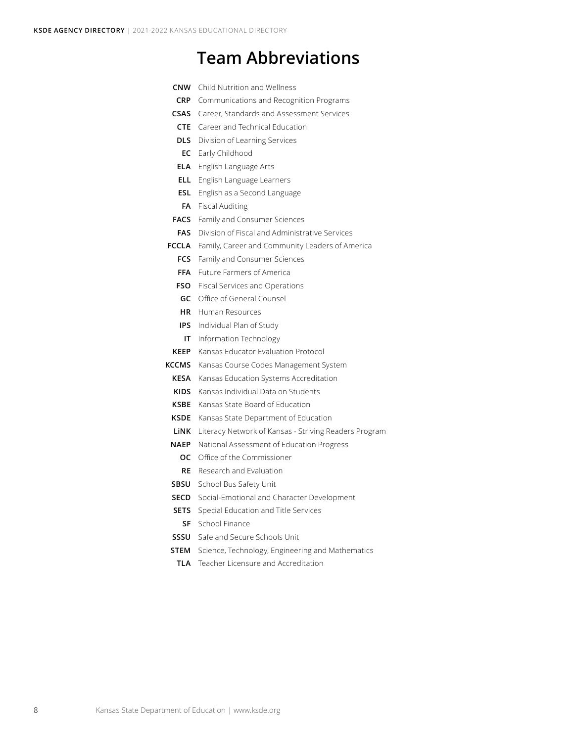# **Team Abbreviations**

| <b>CNW</b>   | Child Nutrition and Wellness                          |
|--------------|-------------------------------------------------------|
| <b>CRP</b>   | Communications and Recognition Programs               |
| <b>CSAS</b>  | Career, Standards and Assessment Services             |
| <b>CTE</b>   | Career and Technical Education                        |
| <b>DLS</b>   | Division of Learning Services                         |
| EC           | Early Childhood                                       |
| <b>ELA</b>   | English Language Arts                                 |
| <b>ELL</b>   | English Language Learners                             |
| <b>ESL</b>   | English as a Second Language                          |
| FA           | <b>Fiscal Auditing</b>                                |
| <b>FACS</b>  | Family and Consumer Sciences                          |
| <b>FAS</b>   | Division of Fiscal and Administrative Services        |
| <b>FCCLA</b> | Family, Career and Community Leaders of America       |
| <b>FCS</b>   | Family and Consumer Sciences                          |
| <b>FFA</b>   | <b>Future Farmers of America</b>                      |
| <b>FSO</b>   | Fiscal Services and Operations                        |
| GC           | Office of General Counsel                             |
| HR.          | Human Resources                                       |
| IPS.         | Individual Plan of Study                              |
| ΙT           | Information Technology                                |
| <b>KEEP</b>  | Kansas Educator Evaluation Protocol                   |
| KCCMS        | Kansas Course Codes Management System                 |
| <b>KESA</b>  | Kansas Education Systems Accreditation                |
| <b>KIDS</b>  | Kansas Individual Data on Students                    |
| KSBE         | Kansas State Board of Education                       |
| KSDE         | Kansas State Department of Education                  |
| LiNK         | Literacy Network of Kansas - Striving Readers Program |
| <b>NAEP</b>  | National Assessment of Education Progress             |
| ос           | Office of the Commissioner                            |
| RE           | Research and Evaluation                               |
| SBSU         | School Bus Safety Unit                                |
| SECD         | Social-Emotional and Character Development            |

- **SETS** Special Education and Title Services
- **SF** School Finance
- **SSSU** Safe and Secure Schools Unit
- **STEM** Science, Technology, Engineering and Mathematics
	- **TLA** Teacher Licensure and Accreditation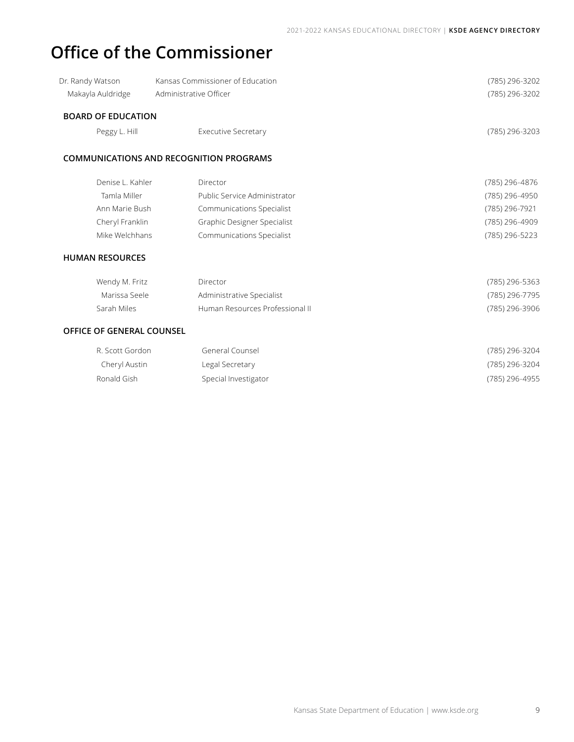# **Office of the Commissioner**

| Dr. Randy Watson          | Kansas Commissioner of Education | (785) 296-3202 |
|---------------------------|----------------------------------|----------------|
| Makayla Auldridge         | Administrative Officer           | (785) 296-3202 |
| <b>BOARD OF EDUCATION</b> |                                  |                |
| Peggy L. Hill             | <b>Executive Secretary</b>       | (785) 296-3203 |

### **COMMUNICATIONS AND RECOGNITION PROGRAMS**

| Denise L. Kahler | Director                         | (785) 296-4876 |
|------------------|----------------------------------|----------------|
| Tamla Miller     | Public Service Administrator     | (785) 296-4950 |
| Ann Marie Bush   | <b>Communications Specialist</b> | (785) 296-7921 |
| Cheryl Franklin  | Graphic Designer Specialist      | (785) 296-4909 |
| Mike Welchhans   | Communications Specialist        | (785) 296-5223 |
|                  |                                  |                |

## **HUMAN RESOURCES**

| Wendy M. Fritz | Director                        | (785) 296-5363 |
|----------------|---------------------------------|----------------|
| Marissa Seele  | Administrative Specialist       | (785) 296-7795 |
| Sarah Miles    | Human Resources Professional II | (785) 296-3906 |

## **OFFICE OF GENERAL COUNSEL**

| R. Scott Gordon | General Counsel      | (785) 296-3204 |
|-----------------|----------------------|----------------|
| Cheryl Austin   | Legal Secretary      | (785) 296-3204 |
| Ronald Gish     | Special Investigator | (785) 296-4955 |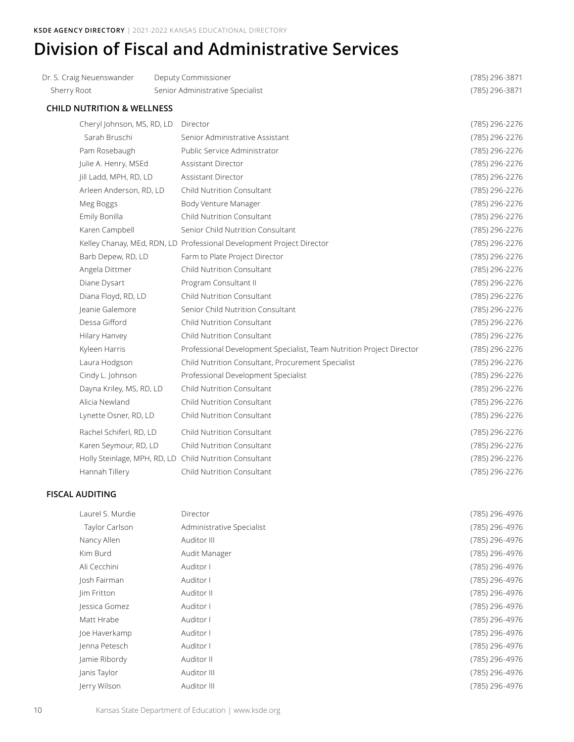# **Division of Fiscal and Administrative Services**

| Dr. S. Craig Neuenswander             | Deputy Commissioner                                                   | (785) 296-3871 |
|---------------------------------------|-----------------------------------------------------------------------|----------------|
| Sherry Root                           | Senior Administrative Specialist                                      | (785) 296-3871 |
| <b>CHILD NUTRITION &amp; WELLNESS</b> |                                                                       |                |
| Cheryl Johnson, MS, RD, LD            | Director                                                              | (785) 296-2276 |
| Sarah Bruschi                         | Senior Administrative Assistant                                       | (785) 296-2276 |
| Pam Rosebaugh                         | Public Service Administrator                                          | (785) 296-2276 |
| Julie A. Henry, MSEd                  | Assistant Director                                                    | (785) 296-2276 |
| Jill Ladd, MPH, RD, LD                | Assistant Director                                                    | (785) 296-2276 |
| Arleen Anderson, RD, LD               | Child Nutrition Consultant                                            | (785) 296-2276 |
| Meg Boggs                             | Body Venture Manager                                                  | (785) 296-2276 |
| Emily Bonilla                         | Child Nutrition Consultant                                            | (785) 296-2276 |
| Karen Campbell                        | Senior Child Nutrition Consultant                                     | (785) 296-2276 |
|                                       | Kelley Chanay, MEd, RDN, LD Professional Development Project Director | (785) 296-2276 |
| Barb Depew, RD, LD                    | Farm to Plate Project Director                                        | (785) 296-2276 |
| Angela Dittmer                        | Child Nutrition Consultant                                            | (785) 296-2276 |
| Diane Dysart                          | Program Consultant II                                                 | (785) 296-2276 |
| Diana Floyd, RD, LD                   | Child Nutrition Consultant                                            | (785) 296-2276 |
| Jeanie Galemore                       | Senior Child Nutrition Consultant                                     | (785) 296-2276 |
| Dessa Gifford                         | Child Nutrition Consultant                                            | (785) 296-2276 |
| Hilary Hanvey                         | Child Nutrition Consultant                                            | (785) 296-2276 |
| Kyleen Harris                         | Professional Development Specialist, Team Nutrition Project Director  | (785) 296-2276 |
| Laura Hodgson                         | Child Nutrition Consultant, Procurement Specialist                    | (785) 296-2276 |
| Cindy L. Johnson                      | Professional Development Specialist                                   | (785) 296-2276 |
| Dayna Kriley, MS, RD, LD              | Child Nutrition Consultant                                            | (785) 296-2276 |
| Alicia Newland                        | Child Nutrition Consultant                                            | (785) 296-2276 |
| Lynette Osner, RD, LD                 | Child Nutrition Consultant                                            | (785) 296-2276 |
| Rachel Schiferl, RD, LD               | Child Nutrition Consultant                                            | (785) 296-2276 |
| Karen Seymour, RD, LD                 | Child Nutrition Consultant                                            | (785) 296-2276 |
|                                       | Holly Steinlage, MPH, RD, LD Child Nutrition Consultant               | (785) 296-2276 |
| Hannah Tillery                        | Child Nutrition Consultant                                            | (785) 296-2276 |
|                                       |                                                                       |                |

## **FISCAL AUDITING**

| Director                  | (785) 296-4976 |
|---------------------------|----------------|
| Administrative Specialist | (785) 296-4976 |
| Auditor III               | (785) 296-4976 |
| Audit Manager             | (785) 296-4976 |
| Auditor I                 | (785) 296-4976 |
| Auditor I                 | (785) 296-4976 |
| Auditor II                | (785) 296-4976 |
| Auditor I                 | (785) 296-4976 |
| Auditor I                 | (785) 296-4976 |
| Auditor I                 | (785) 296-4976 |
| Auditor I                 | (785) 296-4976 |
| Auditor II                | (785) 296-4976 |
| Auditor III               | (785) 296-4976 |
| Auditor III               | (785) 296-4976 |
|                           |                |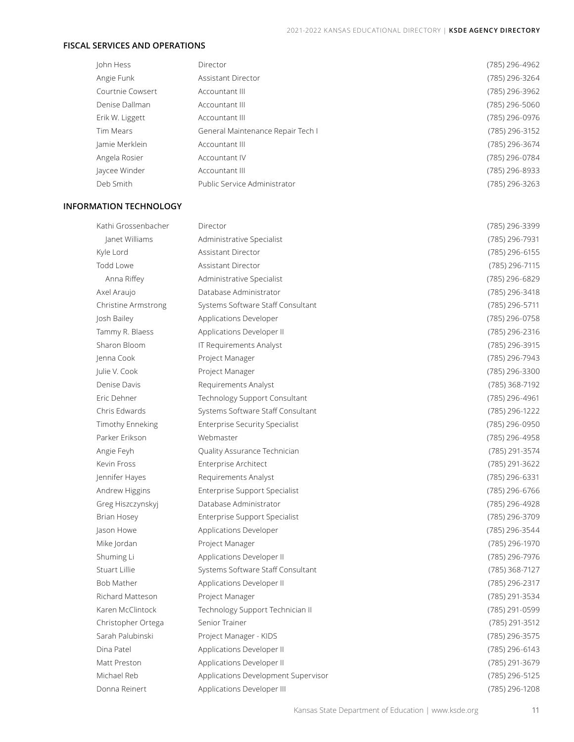### **FISCAL SERVICES AND OPERATIONS**

| John Hess        | Director                          | (785) 296-4962 |
|------------------|-----------------------------------|----------------|
| Angie Funk       | Assistant Director                | (785) 296-3264 |
| Courtnie Cowsert | Accountant III                    | (785) 296-3962 |
| Denise Dallman   | Accountant III                    | (785) 296-5060 |
| Erik W. Liggett  | Accountant III                    | (785) 296-0976 |
| Tim Mears        | General Maintenance Repair Tech I | (785) 296-3152 |
| Jamie Merklein   | Accountant III                    | (785) 296-3674 |
| Angela Rosier    | Accountant IV                     | (785) 296-0784 |
| Jaycee Winder    | Accountant III                    | (785) 296-8933 |
| Deb Smith        | Public Service Administrator      | (785) 296-3263 |

### **INFORMATION TECHNOLOGY**

| Kathi Grossenbacher     | Director                              | (785) 296-3399 |
|-------------------------|---------------------------------------|----------------|
| Janet Williams          | Administrative Specialist             | (785) 296-7931 |
| Kyle Lord               | Assistant Director                    | (785) 296-6155 |
| Todd Lowe               | Assistant Director                    | (785) 296-7115 |
| Anna Riffey             | Administrative Specialist             | (785) 296-6829 |
| Axel Araujo             | Database Administrator                | (785) 296-3418 |
| Christine Armstrong     | Systems Software Staff Consultant     | (785) 296-5711 |
| Josh Bailey             | Applications Developer                | (785) 296-0758 |
| Tammy R. Blaess         | Applications Developer II             | (785) 296-2316 |
| Sharon Bloom            | IT Requirements Analyst               | (785) 296-3915 |
| Jenna Cook              | Project Manager                       | (785) 296-7943 |
| Julie V. Cook           | Project Manager                       | (785) 296-3300 |
| Denise Davis            | Requirements Analyst                  | (785) 368-7192 |
| Eric Dehner             | Technology Support Consultant         | (785) 296-4961 |
| Chris Edwards           | Systems Software Staff Consultant     | (785) 296-1222 |
| Timothy Enneking        | <b>Enterprise Security Specialist</b> | (785) 296-0950 |
| Parker Frikson          | Webmaster                             | (785) 296-4958 |
| Angie Feyh              | Quality Assurance Technician          | (785) 291-3574 |
| Kevin Fross             | <b>Enterprise Architect</b>           | (785) 291-3622 |
| Jennifer Hayes          | Requirements Analyst                  | (785) 296-6331 |
| Andrew Higgins          | Enterprise Support Specialist         | (785) 296-6766 |
| Greg Hiszczynskyj       | Database Administrator                | (785) 296-4928 |
| Brian Hosey             | <b>Enterprise Support Specialist</b>  | (785) 296-3709 |
| Jason Howe              | Applications Developer                | (785) 296-3544 |
| Mike Jordan             | Project Manager                       | (785) 296-1970 |
| Shuming Li              | Applications Developer II             | (785) 296-7976 |
| Stuart Lillie           | Systems Software Staff Consultant     | (785) 368-7127 |
| <b>Bob Mather</b>       | Applications Developer II             | (785) 296-2317 |
| <b>Richard Matteson</b> | Project Manager                       | (785) 291-3534 |
| Karen McClintock        | Technology Support Technician II      | (785) 291-0599 |
| Christopher Ortega      | Senior Trainer                        | (785) 291-3512 |
| Sarah Palubinski        | Project Manager - KIDS                | (785) 296-3575 |
| Dina Patel              | Applications Developer II             | (785) 296-6143 |
| Matt Preston            | Applications Developer II             | (785) 291-3679 |
| Michael Reb             | Applications Development Supervisor   | (785) 296-5125 |
| Donna Reinert           | Applications Developer III            | (785) 296-1208 |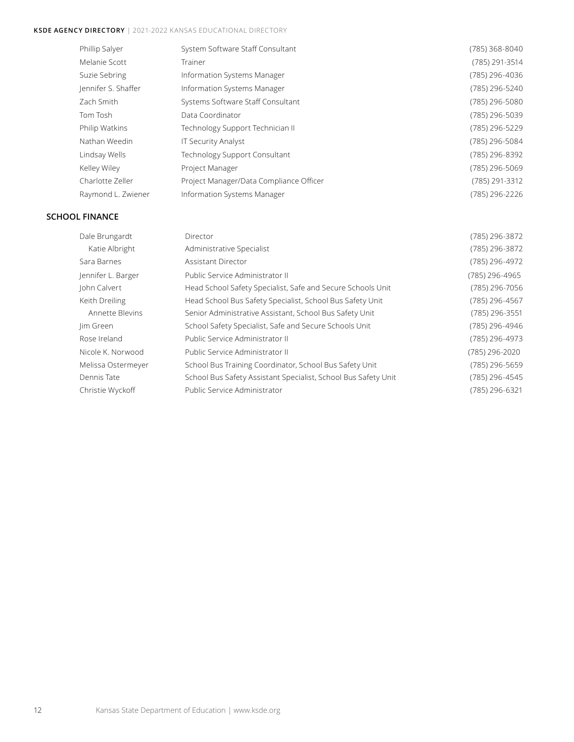## **KSDE Agency Directory** | 2021-2022 KANSAS EDUCATIONAL DIRECTORY

| Phillip Salyer      | System Software Staff Consultant        | (785) 368-8040 |
|---------------------|-----------------------------------------|----------------|
| Melanie Scott       | Trainer                                 | (785) 291-3514 |
| Suzie Sebring       | Information Systems Manager             | (785) 296-4036 |
| Jennifer S. Shaffer | Information Systems Manager             | (785) 296-5240 |
| Zach Smith          | Systems Software Staff Consultant       | (785) 296-5080 |
| Tom Tosh            | Data Coordinator                        | (785) 296-5039 |
| Philip Watkins      | Technology Support Technician II        | (785) 296-5229 |
| Nathan Weedin       | <b>IT Security Analyst</b>              | (785) 296-5084 |
| Lindsay Wells       | Technology Support Consultant           | (785) 296-8392 |
| Kelley Wiley        | Project Manager                         | (785) 296-5069 |
| Charlotte Zeller    | Project Manager/Data Compliance Officer | (785) 291-3312 |
| Raymond L. Zwiener  | Information Systems Manager             | (785) 296-2226 |

## **SCHOOL FINANCE**

| Dale Brungardt     | Director                                                       | (785) 296-3872 |
|--------------------|----------------------------------------------------------------|----------------|
| Katie Albright     | Administrative Specialist                                      | (785) 296-3872 |
| Sara Barnes        | Assistant Director                                             | (785) 296-4972 |
| Jennifer L. Barger | Public Service Administrator II                                | (785) 296-4965 |
| John Calvert       | Head School Safety Specialist, Safe and Secure Schools Unit    | (785) 296-7056 |
| Keith Dreiling     | Head School Bus Safety Specialist, School Bus Safety Unit      | (785) 296-4567 |
| Annette Blevins    | Senior Administrative Assistant, School Bus Safety Unit        | (785) 296-3551 |
| Jim Green          | School Safety Specialist, Safe and Secure Schools Unit         | (785) 296-4946 |
| Rose Ireland       | Public Service Administrator II                                | (785) 296-4973 |
| Nicole K. Norwood  | Public Service Administrator II                                | (785) 296-2020 |
| Melissa Ostermeyer | School Bus Training Coordinator, School Bus Safety Unit        | (785) 296-5659 |
| Dennis Tate        | School Bus Safety Assistant Specialist, School Bus Safety Unit | (785) 296-4545 |
| Christie Wyckoff   | Public Service Administrator                                   | (785) 296-6321 |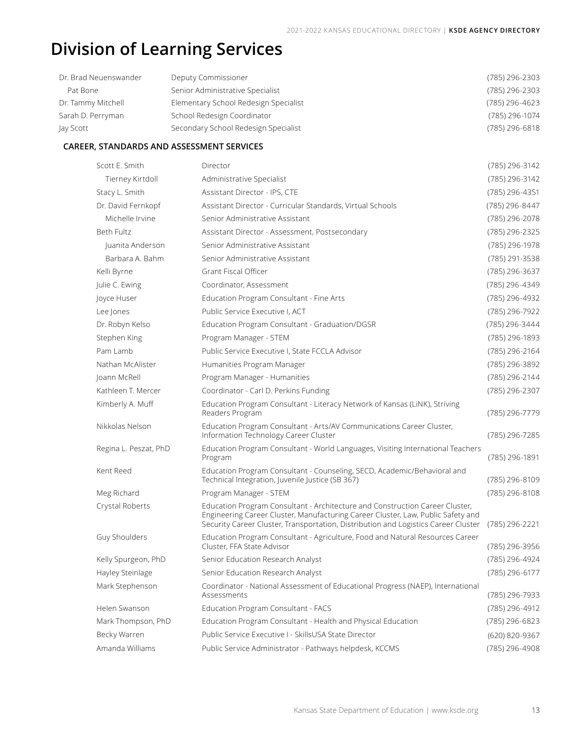# **Division of Learning Services**

| Dr. Brad Neuenswander | Deputy Commissioner                   | (785) 296-2303 |
|-----------------------|---------------------------------------|----------------|
| Pat Bone              | Senior Administrative Specialist      | (785) 296-2303 |
| Dr. Tammy Mitchell    | Elementary School Redesign Specialist | (785) 296-4623 |
| Sarah D. Perryman     | School Redesign Coordinator           | (785) 296-1074 |
| Jay Scott             | Secondary School Redesign Specialist  | (785) 296-6818 |

### **CAREER, STANDARDS AND ASSESSMENT SERVICES**

| Scott E. Smith        | Director                                                                                                                                                                                                                                               | (785) 296-3142 |
|-----------------------|--------------------------------------------------------------------------------------------------------------------------------------------------------------------------------------------------------------------------------------------------------|----------------|
| Tierney Kirtdoll      | Administrative Specialist                                                                                                                                                                                                                              | (785) 296-3142 |
| Stacy L. Smith        | Assistant Director - IPS, CTE                                                                                                                                                                                                                          | (785) 296-4351 |
| Dr. David Fernkopf    | Assistant Director - Curricular Standards, Virtual Schools                                                                                                                                                                                             | (785) 296-8447 |
| Michelle Irvine       | Senior Administrative Assistant                                                                                                                                                                                                                        | (785) 296-2078 |
| Beth Fultz            | Assistant Director - Assessment, Postsecondary                                                                                                                                                                                                         | (785) 296-2325 |
| Juanita Anderson      | Senior Administrative Assistant                                                                                                                                                                                                                        | (785) 296-1978 |
| Barbara A. Bahm       | Senior Administrative Assistant                                                                                                                                                                                                                        | (785) 291-3538 |
| Kelli Byrne           | Grant Fiscal Officer                                                                                                                                                                                                                                   | (785) 296-3637 |
| Julie C. Ewing        | Coordinator, Assessment                                                                                                                                                                                                                                | (785) 296-4349 |
| Joyce Huser           | Education Program Consultant - Fine Arts                                                                                                                                                                                                               | (785) 296-4932 |
| Lee Jones             | Public Service Executive I, ACT                                                                                                                                                                                                                        | (785) 296-7922 |
| Dr. Robyn Kelso       | Education Program Consultant - Graduation/DGSR                                                                                                                                                                                                         | (785) 296-3444 |
| Stephen King          | Program Manager - STEM                                                                                                                                                                                                                                 | (785) 296-1893 |
| Pam Lamb              | Public Service Executive I, State FCCLA Advisor                                                                                                                                                                                                        | (785) 296-2164 |
| Nathan McAlister      | Humanities Program Manager                                                                                                                                                                                                                             | (785) 296-3892 |
| Joann McRell          | Program Manager - Humanities                                                                                                                                                                                                                           | (785) 296-2144 |
| Kathleen T. Mercer    | Coordinator - Carl D. Perkins Funding                                                                                                                                                                                                                  | (785) 296-2307 |
| Kimberly A. Muff      | Education Program Consultant - Literacy Network of Kansas (LiNK), Striving<br>Readers Program                                                                                                                                                          | (785) 296-7779 |
| Nikkolas Nelson       | Education Program Consultant - Arts/AV Communications Career Cluster,<br>Information Technology Career Cluster                                                                                                                                         | (785) 296-7285 |
| Regina L. Peszat, PhD | Education Program Consultant - World Languages, Visiting International Teachers<br>Program                                                                                                                                                             | (785) 296-1891 |
| Kent Reed             | Education Program Consultant - Counseling, SECD, Academic/Behavioral and<br>Technical Integration, Juvenile Justice (SB 367)                                                                                                                           | (785) 296-8109 |
| Meg Richard           | Program Manager - STEM                                                                                                                                                                                                                                 | (785) 296-8108 |
| Crystal Roberts       | Education Program Consultant - Architecture and Construction Career Cluster,<br>Engineering Career Cluster, Manufacturing Career Cluster, Law, Public Safety and<br>Security Career Cluster, Transportation, Distribution and Logistics Career Cluster | (785) 296-2221 |
| Guy Shoulders         | Education Program Consultant - Agriculture, Food and Natural Resources Career<br>Cluster, FFA State Advisor                                                                                                                                            | (785) 296-3956 |
| Kelly Spurgeon, PhD   | Senior Education Research Analyst                                                                                                                                                                                                                      | (785) 296-4924 |
| Hayley Steinlage      | Senior Education Research Analyst                                                                                                                                                                                                                      | (785) 296-6177 |
| Mark Stephenson       | Coordinator - National Assessment of Educational Progress (NAEP), International<br>Assessments                                                                                                                                                         | (785) 296-7933 |
| Helen Swanson         | Education Program Consultant - FACS                                                                                                                                                                                                                    | (785) 296-4912 |
| Mark Thompson, PhD    | Education Program Consultant - Health and Physical Education                                                                                                                                                                                           | (785) 296-6823 |
| Becky Warren          | Public Service Executive I - SkillsUSA State Director                                                                                                                                                                                                  | (620) 820-9367 |
| Amanda Williams       | Public Service Administrator - Pathways helpdesk, KCCMS                                                                                                                                                                                                | (785) 296-4908 |
|                       |                                                                                                                                                                                                                                                        |                |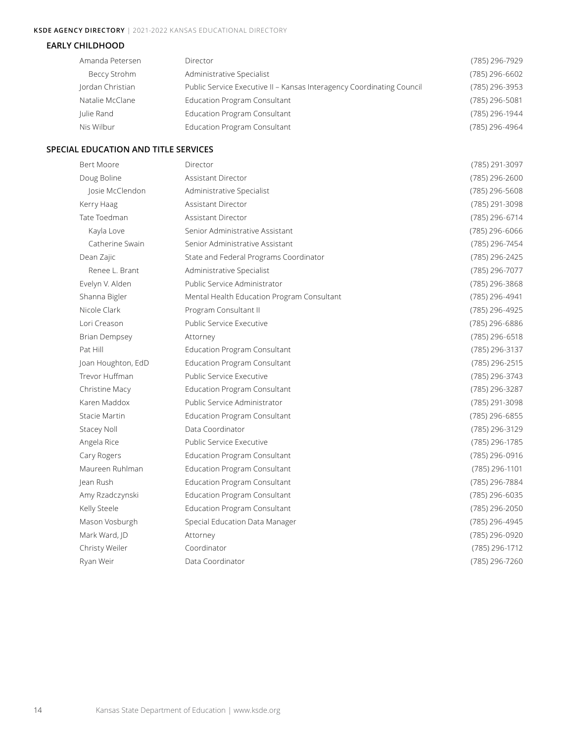## **KSDE Agency Directory** | 2021-2022 KANSAS EDUCATIONAL DIRECTORY

### **EARLY CHILDHOOD**

| Amanda Petersen     | Director                                                              | (785) 296-7929 |
|---------------------|-----------------------------------------------------------------------|----------------|
| <b>Beccy Strohm</b> | Administrative Specialist                                             | (785) 296-6602 |
| Jordan Christian    | Public Service Executive II - Kansas Interagency Coordinating Council | (785) 296-3953 |
| Natalie McClane     | <b>Education Program Consultant</b>                                   | (785) 296-5081 |
| Julie Rand          | <b>Education Program Consultant</b>                                   | (785) 296-1944 |
| Nis Wilbur          | <b>Education Program Consultant</b>                                   | (785) 296-4964 |

### **SPECIAL EDUCATION AND TITLE SERVICES**

| <b>Bert Moore</b>    | Director                                   | (785) 291-3097 |
|----------------------|--------------------------------------------|----------------|
| Doug Boline          | Assistant Director                         | (785) 296-2600 |
| Josie McClendon      | Administrative Specialist                  | (785) 296-5608 |
| Kerry Haag           | Assistant Director                         | (785) 291-3098 |
| Tate Toedman         | <b>Assistant Director</b>                  | (785) 296-6714 |
| Kayla Love           | Senior Administrative Assistant            | (785) 296-6066 |
| Catherine Swain      | Senior Administrative Assistant            | (785) 296-7454 |
| Dean Zajic           | State and Federal Programs Coordinator     | (785) 296-2425 |
| Renee L. Brant       | Administrative Specialist                  | (785) 296-7077 |
| Evelyn V. Alden      | Public Service Administrator               | (785) 296-3868 |
| Shanna Bigler        | Mental Health Education Program Consultant | (785) 296-4941 |
| Nicole Clark         | Program Consultant II                      | (785) 296-4925 |
| Lori Creason         | Public Service Executive                   | (785) 296-6886 |
| <b>Brian Dempsey</b> | Attorney                                   | (785) 296-6518 |
| Pat Hill             | <b>Education Program Consultant</b>        | (785) 296-3137 |
| Joan Houghton, EdD   | <b>Education Program Consultant</b>        | (785) 296-2515 |
| Trevor Huffman       | Public Service Executive                   | (785) 296-3743 |
| Christine Macy       | Education Program Consultant               | (785) 296-3287 |
| Karen Maddox         | Public Service Administrator               | (785) 291-3098 |
| Stacie Martin        | <b>Education Program Consultant</b>        | (785) 296-6855 |
| Stacey Noll          | Data Coordinator                           | (785) 296-3129 |
| Angela Rice          | Public Service Executive                   | (785) 296-1785 |
| Cary Rogers          | <b>Education Program Consultant</b>        | (785) 296-0916 |
| Maureen Ruhlman      | <b>Education Program Consultant</b>        | (785) 296-1101 |
| lean Rush            | <b>Education Program Consultant</b>        | (785) 296-7884 |
| Amy Rzadczynski      | <b>Education Program Consultant</b>        | (785) 296-6035 |
| Kelly Steele         | <b>Education Program Consultant</b>        | (785) 296-2050 |
| Mason Vosburgh       | Special Education Data Manager             | (785) 296-4945 |
| Mark Ward, JD        | Attorney                                   | (785) 296-0920 |
| Christy Weiler       | Coordinator                                | (785) 296-1712 |
| Ryan Weir            | Data Coordinator                           | (785) 296-7260 |
|                      |                                            |                |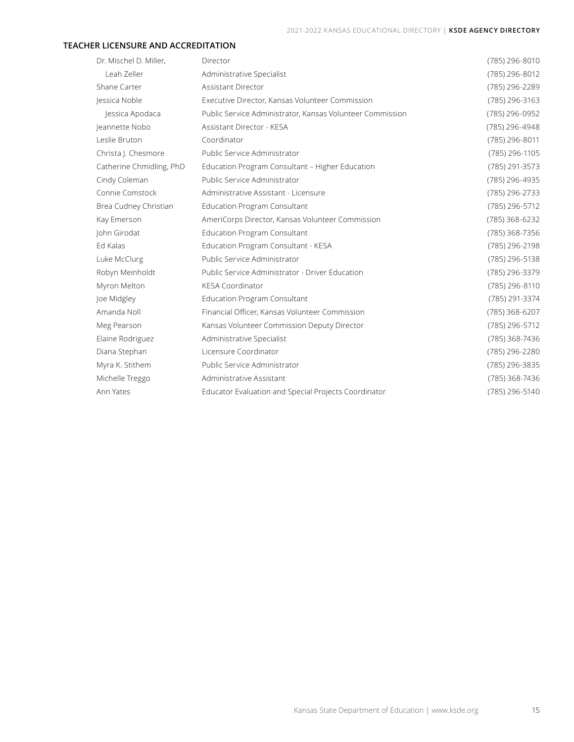### **TEACHER LICENSURE AND ACCREDITATION**

| Dr. Mischel D. Miller,   | Director                                                  | (785) 296-8010 |
|--------------------------|-----------------------------------------------------------|----------------|
| Leah Zeller              | Administrative Specialist                                 | (785) 296-8012 |
| Shane Carter             | Assistant Director                                        | (785) 296-2289 |
| Jessica Noble            | Executive Director, Kansas Volunteer Commission           | (785) 296-3163 |
| Jessica Apodaca          | Public Service Administrator, Kansas Volunteer Commission | (785) 296-0952 |
| Jeannette Nobo           | Assistant Director - KESA                                 | (785) 296-4948 |
| Leslie Bruton            | Coordinator                                               | (785) 296-8011 |
| Christa J. Chesmore      | Public Service Administrator                              | (785) 296-1105 |
| Catherine Chmidling, PhD | Education Program Consultant - Higher Education           | (785) 291-3573 |
| Cindy Coleman            | Public Service Administrator                              | (785) 296-4935 |
| Connie Comstock          | Administrative Assistant - Licensure                      | (785) 296-2733 |
| Brea Cudney Christian    | <b>Education Program Consultant</b>                       | (785) 296-5712 |
| Kay Emerson              | AmeriCorps Director, Kansas Volunteer Commission          | (785) 368-6232 |
| John Girodat             | <b>Education Program Consultant</b>                       | (785) 368-7356 |
| Ed Kalas                 | Education Program Consultant - KESA                       | (785) 296-2198 |
| Luke McClurg             | Public Service Administrator                              | (785) 296-5138 |
| Robyn Meinholdt          | Public Service Administrator - Driver Education           | (785) 296-3379 |
| Myron Melton             | <b>KESA Coordinator</b>                                   | (785) 296-8110 |
| Joe Midgley              | <b>Education Program Consultant</b>                       | (785) 291-3374 |
| Amanda Noll              | Financial Officer, Kansas Volunteer Commission            | (785) 368-6207 |
| Meg Pearson              | Kansas Volunteer Commission Deputy Director               | (785) 296-5712 |
| Elaine Rodriguez         | Administrative Specialist                                 | (785) 368-7436 |
| Diana Stephan            | Licensure Coordinator                                     | (785) 296-2280 |
| Myra K. Stithem          | Public Service Administrator                              | (785) 296-3835 |
| Michelle Treggo          | Administrative Assistant                                  | (785) 368-7436 |
| Ann Yates                | Educator Evaluation and Special Projects Coordinator      | (785) 296-5140 |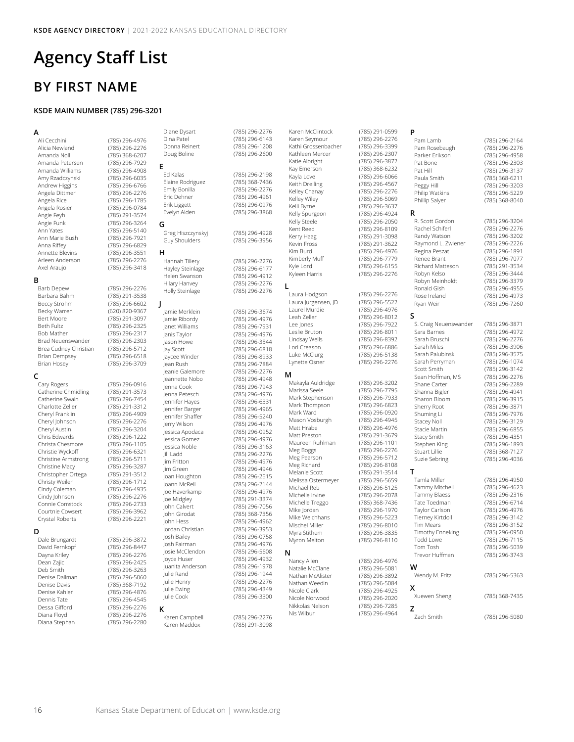# **Agency Staff List**

## **BY FIRST NAME**

### **KSDE MAIN NUMBER (785) 296-3201**

**A** Ali Cecchini (785) 296-4976<br>Alicia Newland (785) 296-2276 Alicia Newland (785) 296-2276 Amanda Petersen (785) 296-7929 Amanda Williams (785) 296-4908 Amy Rzadczynski (785) 296-6035 Andrew Higgins (785) 296-6766 Angela Dittmer (785) 296-2276<br>Angela Rice (785) 296-1785 Angela Rosier (785) 296-0784 Angie Feyh (785) 291-3574 Angie Funk (785) 296-3264<br>Ann Yates (785) 296-5140 Ann Marie Bush (785) 296-7921 Annette Blevins (785) 296-3551 Arleen Anderson (785) 296-2276<br>Axel Araujo (785) 296-3418

**B**<br>Barb Depew Barbara Bahm (785) 291-3538 Beccy Strohm Becky Warren (620) 820-9367<br>Bert Moore (785) 291-3097 Bert Moore (785) 291-3097 Beth Fultz (785) 296-2325<br>Bob Mather (785) 296-2317 Brad Neuenswander (785) 296-2303<br>Brea Cudney Christian (785) 296-5712 Brea Cudney Christian Brian Dempsey (785) 296-6518 Brian Hosey (785) 296-3709

C<br>Cary Rogers Catherine Chmidling (785) 291-3573 Catherine Swain (785) 296-7454 Charlotte Zeller (785) 291-3312 Cheryl Franklin (785) 296-4909 Cheryl Johnson (785) 296-2276 Cheryl Austin (785) 296-3204 Chris Edwards (785) 296-1222 Christa Chesmore (785) 296-1105 Christie Wyckoff (785) 296-6321 Christine Armstrong (785) 296-5711 Christine Macy (785) 296-3287 Christopher Ortega (785) 291-3512 Christy Weiler (785) 296-1712 Cindy Johnson (785) 296-2276 Connie Comstock (785) 296-2733 Crystal Roberts

D<br>Dale Brungardt Dale Brungardt (785) 296-3872 Dayna Kriley (785) 296-2276 Dean Zajic (785) 296-2425 Denise Dallman (785) 296-5060 Denise Davis (785) 368-7192 Dennis Tate (785) 296-4545 Diana Floyd (785) 296-2276 Diana Stephan (785) 296-2280

(785) 368-6207 Angela Rice (785) 296-1785  $(785)$  296-5140 (785) 296-6829 (785) 296-3418 (785) 296-2276 (785) 296-2317<br>(785) 296-2303 (785) 296-0916 Cindy Coleman (785) 296-4935 (785) 296-3962<br>(785) 296-2221  $(785)$  296-8447 (785) 296-3263 **E G H**<br>Hannah Tillery **J** <sub>.</sub><br>Jeanie Galemore Josie McClendon<br>Joyce Huser

### $(785)$  296-2276 **K**

(785) 296-4876

Karen Campbell (785) 296-2276 Karen Maddox (785) 291-3098

Diane Dysart (785) 296-2276 (785) 296-6143 Donna Reinert (785) 296-1208  $(785)$  296-2600 (785) 296-2198 Elaine Rodriguez (785) 368-7436 Emily Bonilla (785) 296-2276 Eric Dehner (785) 296-4961<br>Erik Liggett (785) 296-0976 (785) 296-0976 Evelyn Alden (785) 296-3868 Greg Hiszczynskyj (785) 296-4928 (785) 296-3956 (785) 296-2276 Hayley Steinlage (785) 296-6177 Helen Swanson (785) 296-4912 Hilary Hanvey (785) 296-2276 Holly Steinlage (785) 296-2276 Jamie Merklein (785) 296-3674 )<br>Jamie Ribordy (1985) 296-4976<br>Janet Williams (1985) 296-7931 Janet Williams (785) 296-7931 -<br>Janis Taylor (785) 296-4976<br>Jason Howe (785) 296-3544 Jason Howe (785) 296-3544<br>Jay Scott (785) 296-6818  $(785)$  296-6818 -<br>Jaycee Winder (1785) 296-8933<br>Jean Rush (1785) 296-7884 (785) 296-7884<br>(785) 296-2276 Jeannette Nobo (785) 296-4948  $(785)$  296-7943 Jenna Petesch (785) 296-4976 Jennifer Hayes (785) 296-6331 Jennifer Barger (785) 296-4965 (785) 296-5240 Jerry Wilson (785) 296-4976 Jessica Apodaca (785) 296-0952 Jessica Gomez (785) 296-4976 Jessica Noble (785) 296-3163 Jill Ladd (785) 296-2276 (785) 296-4976 Jim Green (785) 296-4946 Joan Houghton (785) 296-2515 (785) 296-2144 Joe Haverkamp (785) 296-4976<br>Joe Midgley (785) 291-3374 Joe Midgley (785) 291-3374 (785) 296-7056 John Girodat (785) 368-7356 -<br>John Hess (785) 296-4962<br>Jordan Christian (785) 296-3953 (785) 296-3953 Josh Bailey (785) 296-0758 (785) 296-4976<br>(785) 296-5608 Joyce Huser (785) 296-4932 Juanita Anderson (785) 296-1978 Julie Rand (785) 296-1944 Julie Henry (785) 296-2276<br>Julie Ewing (785) 296-4349 Julie Ewing (785) 296-4349<br>Julie Cook (785) 296-3300  $(785)$  296-3300

Karen McClintock (785) 291-0599 Karen Seymour (785) 296-2276 Kathi Grossenbacher (785) 296-3399<br>Kathleen Mercer (785) 296-2307 Kathleen Mercer **L** Lindsay Wells **M** Mark Stephenson Mason Vosburgh Maureen Ruhlman Meg Pearson<br>Meg Richard Melissa Ostermeyer<br>Michael Reb Mischel Miller **N**<br>Nancy Allen Nathan McAlister (785) 296-3892 Nicole Clark (785) 296-4925 Nicole Norwood (785) 296-2020<br>Nikkolas Nelson (785) 296-7285 Nikkolas Nelson Nis Wilbur (785) 296-4964

Katie Albright (785) 296-3872 Kay Emerson (785) 368-6232 Kayla Love (785) 296-6066 Keith Dreiling (785) 296-4567 Kelley Chanay (785) 296-2276<br>Kelley Wiley (785) 296-5069 Kelli Byrne (785) 296-3637 Kelly Spurgeon (785) 296-4924 Kelly Steele (785) 296-2050 Kent Reed (785) 296-8109 Kerry Haag (785) 291-3098 Kevin Fross (785) 291-3622 Kim Burd (785) 296-4976 Kimberly Muff (785) 296-7779 Kyleen Harris (785) 296-2276 Laura Hodgson (785) 296-2276 Laura Jurgensen, JD (785) 296-5522 Laurel Murdie (785) 296-4976 Lee Jones (785) 296-7922 Leslie Bruton (785) 296-8011<br>Lindsav Wells (785) 296-8392 Lori Creason (785) 296-6886 Luke McClurg (785) 296-5138 Lynette Osner (785) 296-2276 Makayla Auldridge (785) 296-3202 Mark Thompson (785) 296-6823<br>Mark Ward (785) 296-0920 Matt Hrabe (785) 296-4976<br>Matt Preston (785) 291-3679 Meg Boggs (785) 296-2276 Meg Richard (785) 296-8108<br>Melanie Scott (785) 291-3514 Michelle Irvine (785) 296-2078<br>Michelle Treggo (785) 368-7436 Michelle Treggo (785) 368-7436<br>Mike Iordan (785) 296-1970 Mike Welchhans (785) 296-5223<br>Mischel Miller (785) 296-8010 Myra Stithem (785) 296-3835 Myron Melton (785) 296-8110 Natalie McClane (785) 296-5081

## **P**<br>Pam Lamb

(785) 296-5069 (785) 296-6155 (785) 296-8012 (785) 296-7795<br>(785) 296-7933  $\frac{1}{2}$  (785) 296-0920<br>(785) 296-4945 (785) 291-3679<br>(785) 296-1101 (785) 291-3514<br>(785) 296-5659 (785) 296-5125 (785) 296-1970 (785) 296-4976 (785) 296-5084 Pam Rosebaugh<br>Parker Frikson **R** Randy Watson Regina Peszat **S** Sarah Palubinski **T** Tammy Blaess<br>Tate Toedman **W X Z**<br>Zach Smith

(785) 296-2164<br>(785) 296-2276 (785) 296-4958 Pat Bone (785) 296-2303 Pat Hill (785) 296-3137<br>
Paula Smith (785) 368-6211 (785) 368-6211 Peggy Hill (785) 296-3203 Philip Watkins (785) 296-5229 Phillip Salyer (785) 368-8040 R. Scott Gordon (785) 296-3204 Rachel Schiferl (785) 296-2276 Raymond L. Zwiener (785) 296-2226 Renee Brant (785) 296-7077 Richard Matteson (785) 291-3534 Robyn Kelso (785) 296-3444 Robyn Meinholdt (785) 296-3379 Ronald Gish (785) 296-4955 Rose Ireland (785) 296-4973<br>Ryan Weir (785) 296-7260 (785) 296-7260 S. Craig Neuenswander (785) 296-3871<br>Sara Barnes (785) 296-4972 Sara Barnes (785) 296-4972<br>Sarah Bruschi (785) 296-2276 Sarah Bruschi (785) 296-2276<br>Sarah Miles (785) 296-3906 (785) 296-3906<br>(785) 296-3575 Sarah Perryman (785) 296-1074<br>Scott Smith (785) 296-3142 (785) 296-3142 Sean Hoffman, MS (785) 296-2276 Shane Carter (785) 296-2289 Shanna Bigler (785) 296-4941 Sharon Bloom (785) 296-3915 Sherry Root (785) 296-3871 Shuming Li (785) 296-7976 Stacey Noll (785) 296-3129 Stacie Martin (785) 296-6855 Stacy Smith (785) 296-4351 Stephen King (785) 296-1893 Stuart Lillie (785) 368-7127 Suzie Sebring (785) 296-4036 (785) 296-4950 Tammy Mitchell (785) 296-4623 Tate Toedman (785) 296-6714<br>Taylor Carlson (785) 296-4976 Taylor Carlson (785) 296-4976<br>Tierney Kirtdoll (785) 296-3142 Tierney Kirtdoll (785) 296-3142<br>Tim Mears (785) 296-3152 (785) 296-3152 Timothy Enneking (785) 296-0950 Todd Lowe (785) 296-7115<br>Tom Tosh (785) 296-5039  $(785)$  296-5039 Trevor Huffman (785) 296-3743 Wendy M. Fritz (785) 296-5363 Xuewen Sheng (785) 368-7435

(785) 296-5080